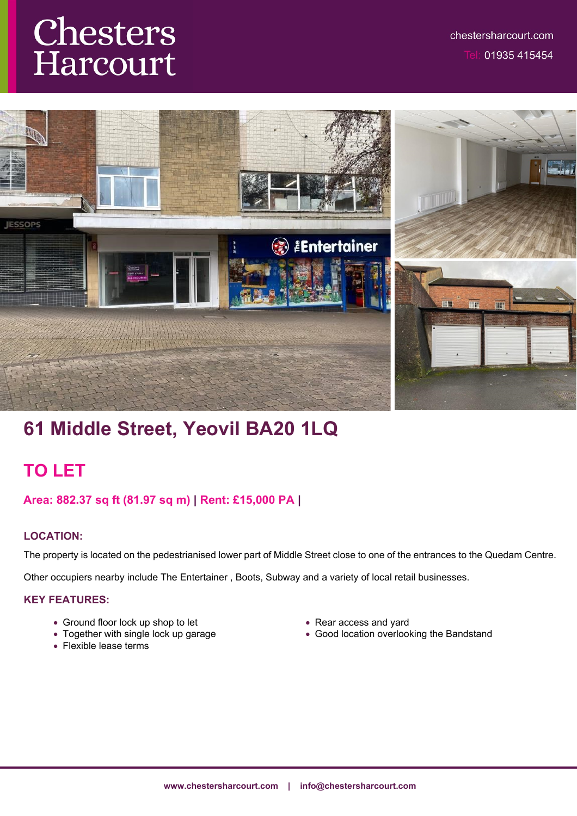# Chesters Harcourt



# **61 Middle Street, Yeovil BA20 1LQ**

# **TO LET**

# **Area: 882.37 sq ft (81.97 sq m) | Rent: £15,000 PA |**

# **LOCATION:**

The property is located on the pedestrianised lower part of Middle Street close to one of the entrances to the Quedam Centre.

Other occupiers nearby include The Entertainer , Boots, Subway and a variety of local retail businesses.

#### **KEY FEATURES:**

- Ground floor lock up shop to let
- Together with single lock up garage
- Flexible lease terms
- Rear access and yard
- Good location overlooking the Bandstand